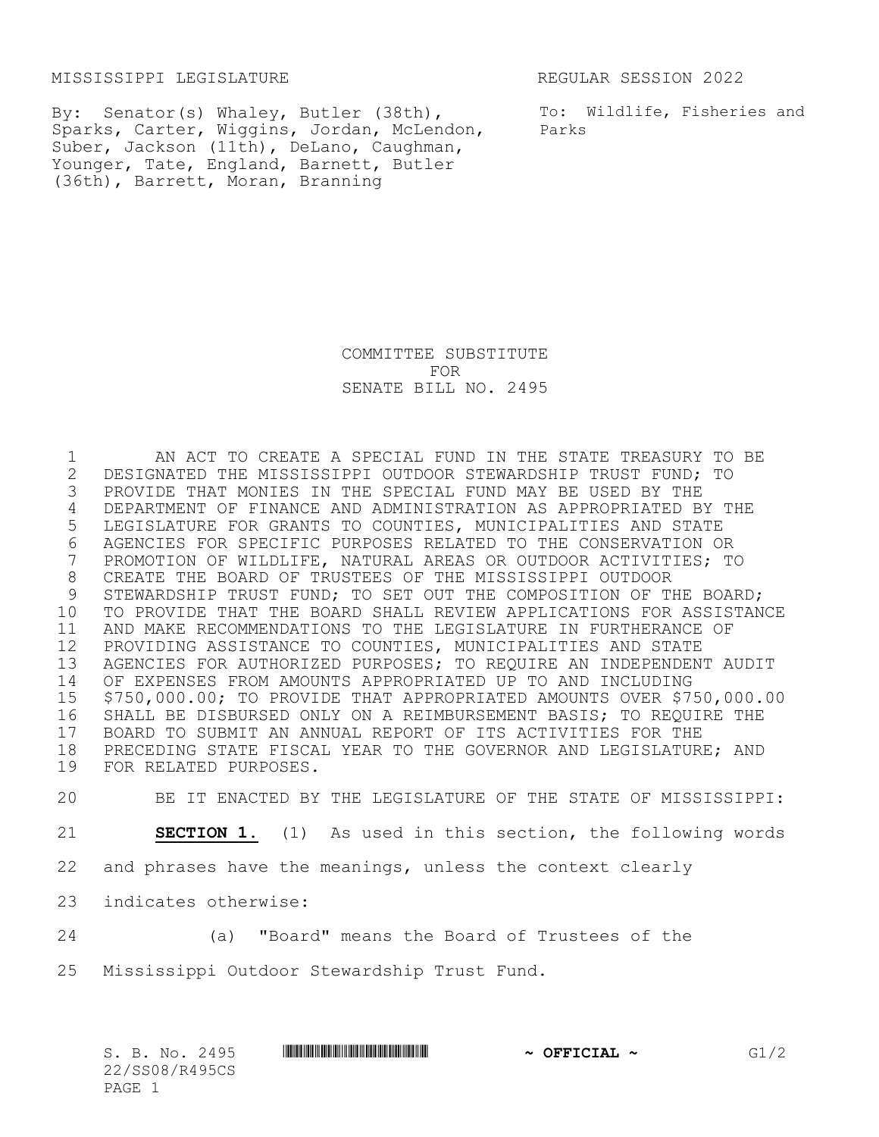MISSISSIPPI LEGISLATURE REGULAR SESSION 2022

By: Senator(s) Whaley, Butler (38th), Sparks, Carter, Wiggins, Jordan, McLendon, Suber, Jackson (11th), DeLano, Caughman, Younger, Tate, England, Barnett, Butler (36th), Barrett, Moran, Branning

To: Wildlife, Fisheries and Parks

COMMITTEE SUBSTITUTE FOR SENATE BILL NO. 2495

 AN ACT TO CREATE A SPECIAL FUND IN THE STATE TREASURY TO BE 2 DESIGNATED THE MISSISSIPPI OUTDOOR STEWARDSHIP TRUST FUND; TO<br>3 PROVIDE THAT MONIES IN THE SPECIAL FUND MAY BE USED BY THE PROVIDE THAT MONIES IN THE SPECIAL FUND MAY BE USED BY THE DEPARTMENT OF FINANCE AND ADMINISTRATION AS APPROPRIATED BY THE LEGISLATURE FOR GRANTS TO COUNTIES, MUNICIPALITIES AND STATE 6 AGENCIES FOR SPECIFIC PURPOSES RELATED TO THE CONSERVATION OR<br>7 PROMOTION OF WILDLIFE, NATURAL AREAS OR OUTDOOR ACTIVITIES; T PROMOTION OF WILDLIFE, NATURAL AREAS OR OUTDOOR ACTIVITIES; TO CREATE THE BOARD OF TRUSTEES OF THE MISSISSIPPI OUTDOOR 9 STEWARDSHIP TRUST FUND; TO SET OUT THE COMPOSITION OF THE BOARD; TO PROVIDE THAT THE BOARD SHALL REVIEW APPLICATIONS FOR ASSISTANCE AND MAKE RECOMMENDATIONS TO THE LEGISLATURE IN FURTHERANCE OF PROVIDING ASSISTANCE TO COUNTIES, MUNICIPALITIES AND STATE AGENCIES FOR AUTHORIZED PURPOSES; TO REQUIRE AN INDEPENDENT AUDIT OF EXPENSES FROM AMOUNTS APPROPRIATED UP TO AND INCLUDING \$750,000.00; TO PROVIDE THAT APPROPRIATED AMOUNTS OVER \$750,000.00 SHALL BE DISBURSED ONLY ON A REIMBURSEMENT BASIS; TO REQUIRE THE BOARD TO SUBMIT AN ANNUAL REPORT OF ITS ACTIVITIES FOR THE PRECEDING STATE FISCAL YEAR TO THE GOVERNOR AND LEGISLATURE; AND FOR RELATED PURPOSES.

 BE IT ENACTED BY THE LEGISLATURE OF THE STATE OF MISSISSIPPI: **SECTION 1.** (1) As used in this section, the following words and phrases have the meanings, unless the context clearly indicates otherwise:

24 (a) "Board" means the Board of Trustees of the

25 Mississippi Outdoor Stewardship Trust Fund.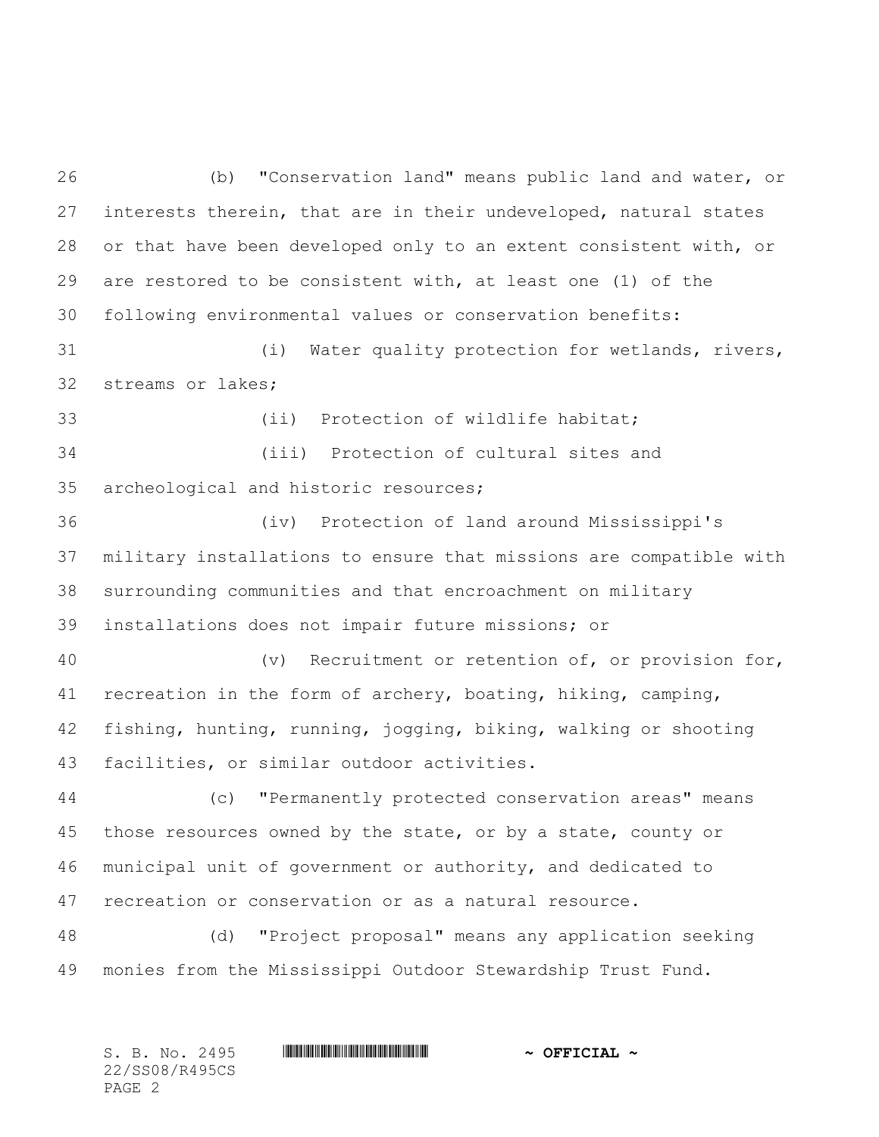(b) "Conservation land" means public land and water, or interests therein, that are in their undeveloped, natural states or that have been developed only to an extent consistent with, or are restored to be consistent with, at least one (1) of the following environmental values or conservation benefits:

 (i) Water quality protection for wetlands, rivers, streams or lakes;

33 (ii) Protection of wildlife habitat; (iii) Protection of cultural sites and archeological and historic resources;

 (iv) Protection of land around Mississippi's military installations to ensure that missions are compatible with surrounding communities and that encroachment on military installations does not impair future missions; or

 (v) Recruitment or retention of, or provision for, recreation in the form of archery, boating, hiking, camping, fishing, hunting, running, jogging, biking, walking or shooting facilities, or similar outdoor activities.

 (c) "Permanently protected conservation areas" means those resources owned by the state, or by a state, county or municipal unit of government or authority, and dedicated to recreation or conservation or as a natural resource.

 (d) "Project proposal" means any application seeking monies from the Mississippi Outdoor Stewardship Trust Fund.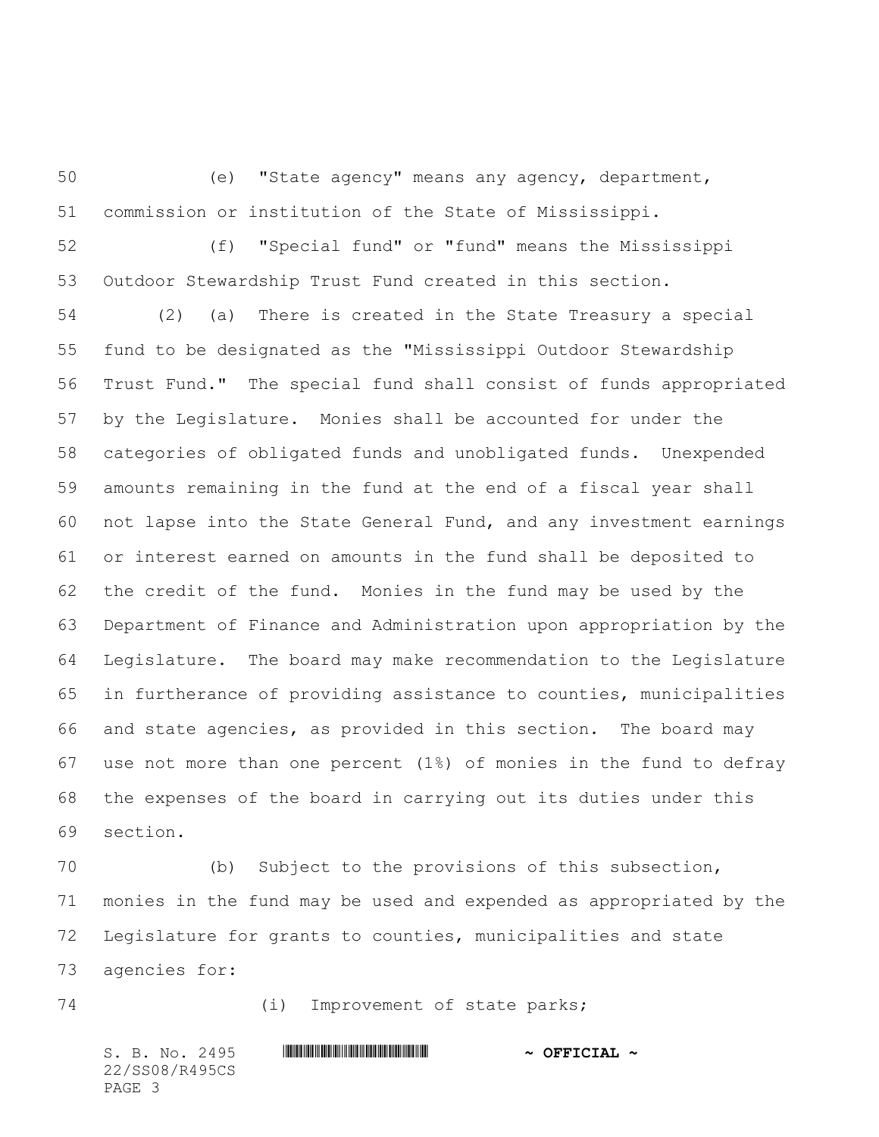(e) "State agency" means any agency, department, commission or institution of the State of Mississippi.

 (f) "Special fund" or "fund" means the Mississippi Outdoor Stewardship Trust Fund created in this section.

 (2) (a) There is created in the State Treasury a special fund to be designated as the "Mississippi Outdoor Stewardship Trust Fund." The special fund shall consist of funds appropriated by the Legislature. Monies shall be accounted for under the categories of obligated funds and unobligated funds. Unexpended amounts remaining in the fund at the end of a fiscal year shall not lapse into the State General Fund, and any investment earnings or interest earned on amounts in the fund shall be deposited to the credit of the fund. Monies in the fund may be used by the Department of Finance and Administration upon appropriation by the Legislature. The board may make recommendation to the Legislature in furtherance of providing assistance to counties, municipalities and state agencies, as provided in this section. The board may use not more than one percent (1%) of monies in the fund to defray the expenses of the board in carrying out its duties under this section.

 (b) Subject to the provisions of this subsection, monies in the fund may be used and expended as appropriated by the Legislature for grants to counties, municipalities and state agencies for:

(i) Improvement of state parks;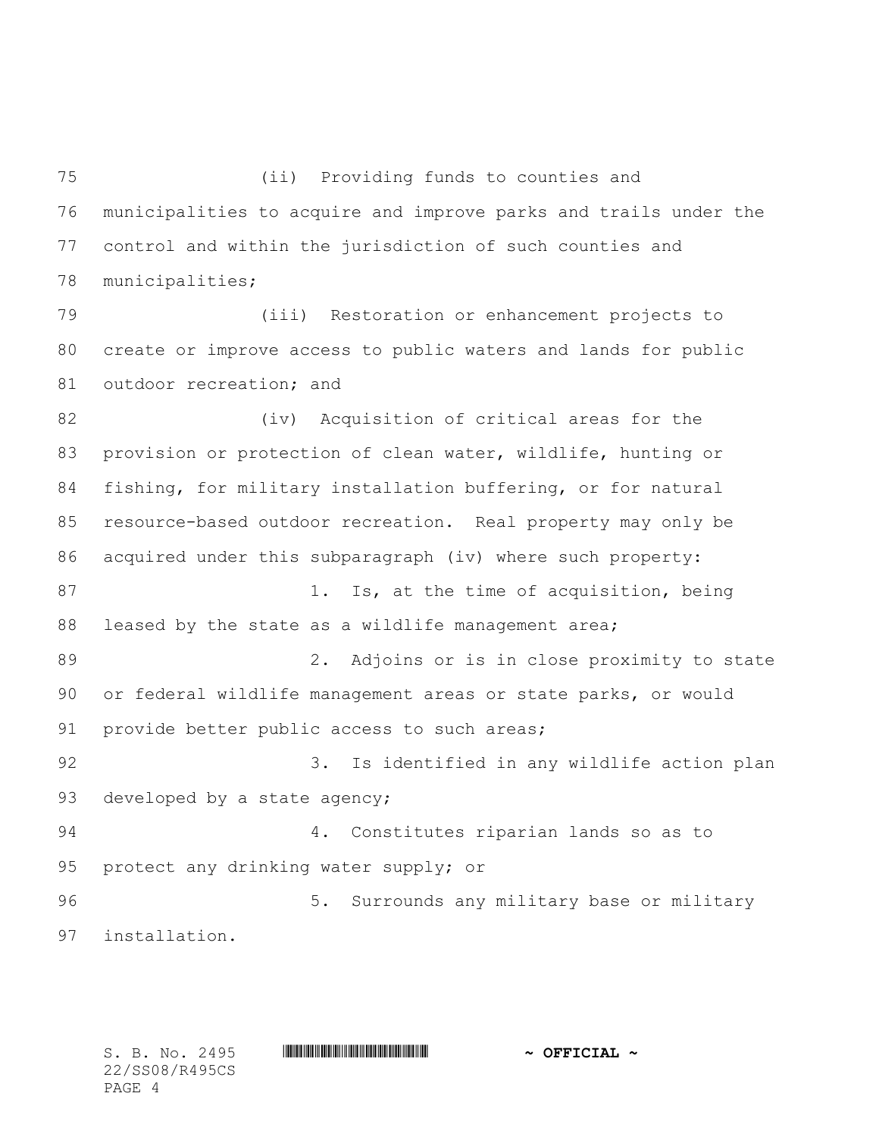(ii) Providing funds to counties and municipalities to acquire and improve parks and trails under the control and within the jurisdiction of such counties and municipalities;

 (iii) Restoration or enhancement projects to create or improve access to public waters and lands for public 81 outdoor recreation; and

82 (iv) Acquisition of critical areas for the provision or protection of clean water, wildlife, hunting or fishing, for military installation buffering, or for natural resource-based outdoor recreation. Real property may only be acquired under this subparagraph (iv) where such property: 87 1. Is, at the time of acquisition, being leased by the state as a wildlife management area; 2. Adjoins or is in close proximity to state or federal wildlife management areas or state parks, or would provide better public access to such areas; 3. Is identified in any wildlife action plan 93 developed by a state agency; 4. Constitutes riparian lands so as to protect any drinking water supply; or 96 5. Surrounds any military base or military installation.

22/SS08/R495CS PAGE 4

S. B. No. 2495 \*SS08/R495CS\* **~ OFFICIAL ~**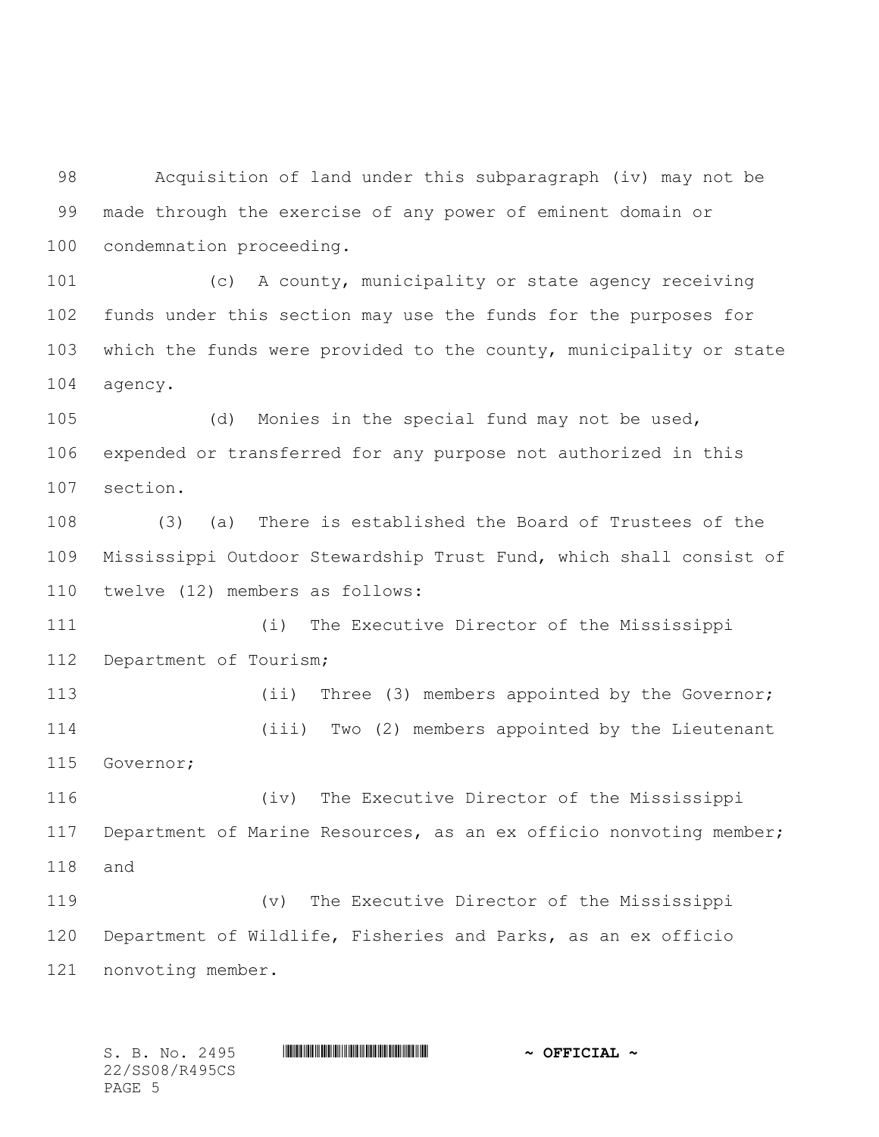Acquisition of land under this subparagraph (iv) may not be made through the exercise of any power of eminent domain or condemnation proceeding.

 (c) A county, municipality or state agency receiving funds under this section may use the funds for the purposes for which the funds were provided to the county, municipality or state agency.

 (d) Monies in the special fund may not be used, expended or transferred for any purpose not authorized in this section.

 (3) (a) There is established the Board of Trustees of the Mississippi Outdoor Stewardship Trust Fund, which shall consist of twelve (12) members as follows:

 (i) The Executive Director of the Mississippi Department of Tourism;

113 (ii) Three (3) members appointed by the Governor; (iii) Two (2) members appointed by the Lieutenant Governor;

 (iv) The Executive Director of the Mississippi Department of Marine Resources, as an ex officio nonvoting member; and

 (v) The Executive Director of the Mississippi Department of Wildlife, Fisheries and Parks, as an ex officio nonvoting member.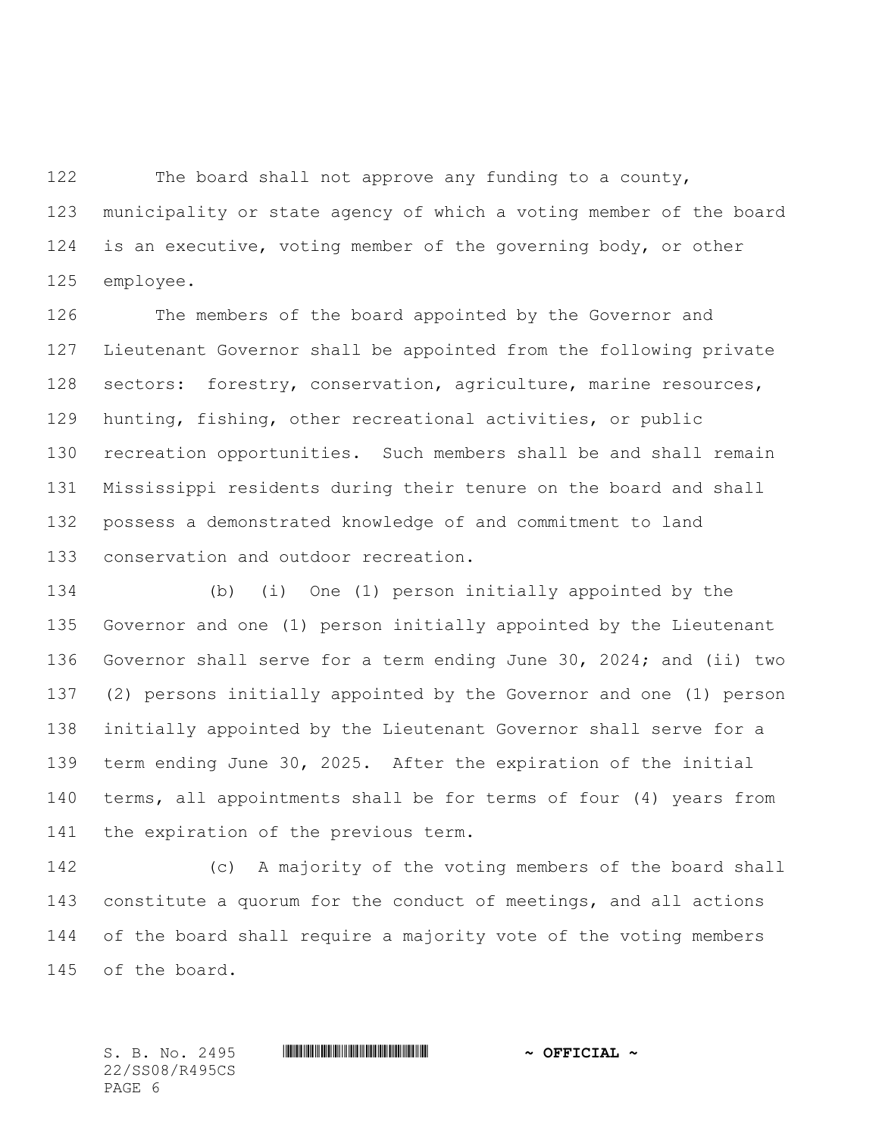The board shall not approve any funding to a county, municipality or state agency of which a voting member of the board is an executive, voting member of the governing body, or other employee.

 The members of the board appointed by the Governor and Lieutenant Governor shall be appointed from the following private sectors: forestry, conservation, agriculture, marine resources, hunting, fishing, other recreational activities, or public recreation opportunities. Such members shall be and shall remain Mississippi residents during their tenure on the board and shall possess a demonstrated knowledge of and commitment to land conservation and outdoor recreation.

 (b) (i) One (1) person initially appointed by the Governor and one (1) person initially appointed by the Lieutenant Governor shall serve for a term ending June 30, 2024; and (ii) two (2) persons initially appointed by the Governor and one (1) person initially appointed by the Lieutenant Governor shall serve for a term ending June 30, 2025. After the expiration of the initial terms, all appointments shall be for terms of four (4) years from the expiration of the previous term.

 (c) A majority of the voting members of the board shall constitute a quorum for the conduct of meetings, and all actions of the board shall require a majority vote of the voting members of the board.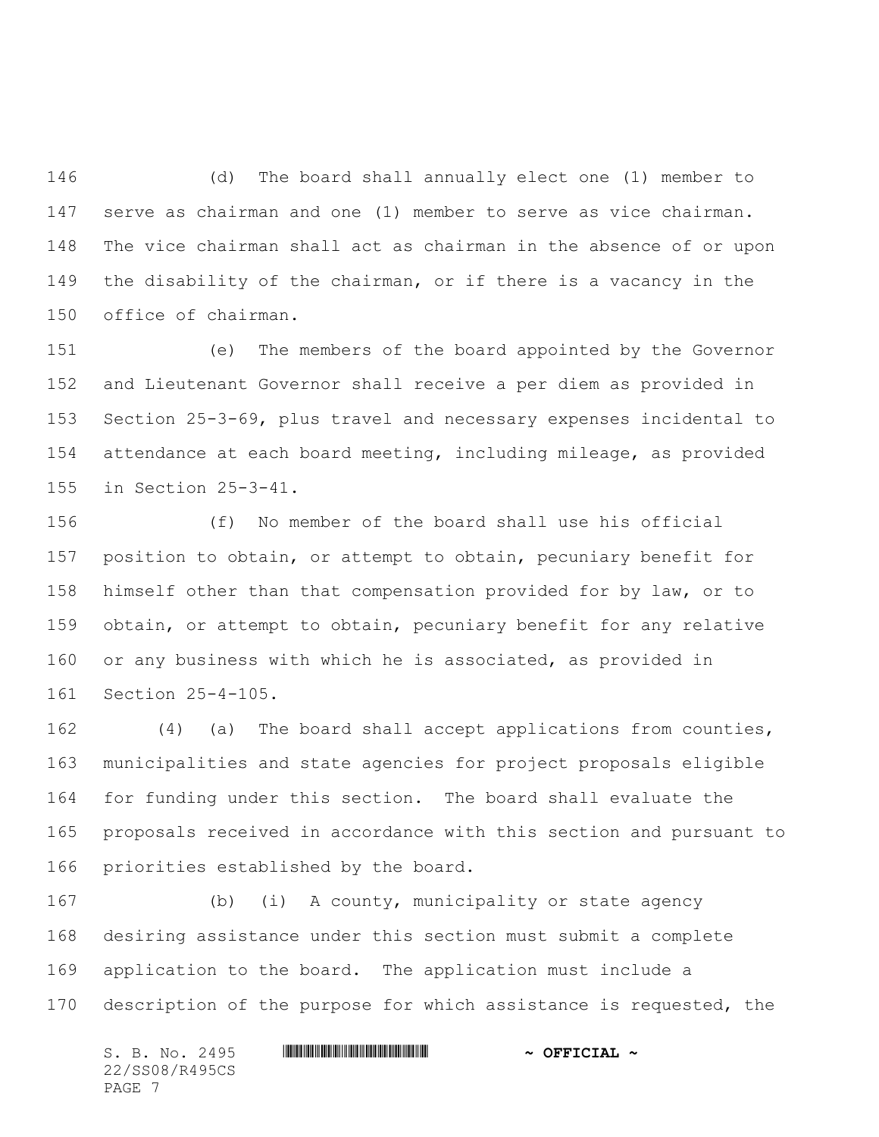(d) The board shall annually elect one (1) member to serve as chairman and one (1) member to serve as vice chairman. The vice chairman shall act as chairman in the absence of or upon the disability of the chairman, or if there is a vacancy in the office of chairman.

 (e) The members of the board appointed by the Governor and Lieutenant Governor shall receive a per diem as provided in Section 25-3-69, plus travel and necessary expenses incidental to attendance at each board meeting, including mileage, as provided in Section 25-3-41.

 (f) No member of the board shall use his official position to obtain, or attempt to obtain, pecuniary benefit for himself other than that compensation provided for by law, or to obtain, or attempt to obtain, pecuniary benefit for any relative or any business with which he is associated, as provided in Section 25-4-105.

 (4) (a) The board shall accept applications from counties, municipalities and state agencies for project proposals eligible for funding under this section. The board shall evaluate the proposals received in accordance with this section and pursuant to priorities established by the board.

 (b) (i) A county, municipality or state agency desiring assistance under this section must submit a complete application to the board. The application must include a 170 description of the purpose for which assistance is requested, the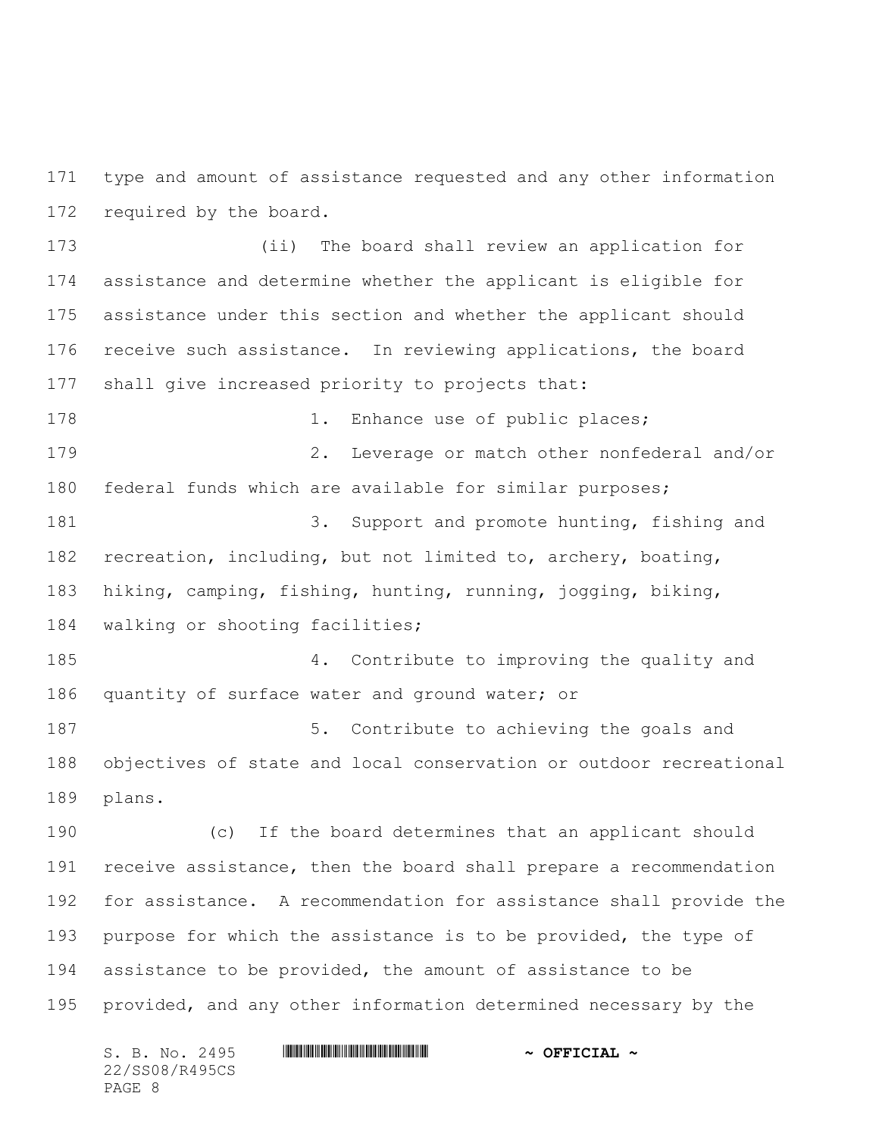type and amount of assistance requested and any other information required by the board.

 (ii) The board shall review an application for assistance and determine whether the applicant is eligible for assistance under this section and whether the applicant should receive such assistance. In reviewing applications, the board shall give increased priority to projects that:

178 1. Enhance use of public places; 2. Leverage or match other nonfederal and/or federal funds which are available for similar purposes;

 3. Support and promote hunting, fishing and recreation, including, but not limited to, archery, boating, hiking, camping, fishing, hunting, running, jogging, biking, walking or shooting facilities;

 4. Contribute to improving the quality and 186 quantity of surface water and ground water; or

187 5. Contribute to achieving the goals and objectives of state and local conservation or outdoor recreational plans.

 (c) If the board determines that an applicant should receive assistance, then the board shall prepare a recommendation for assistance. A recommendation for assistance shall provide the 193 purpose for which the assistance is to be provided, the type of assistance to be provided, the amount of assistance to be provided, and any other information determined necessary by the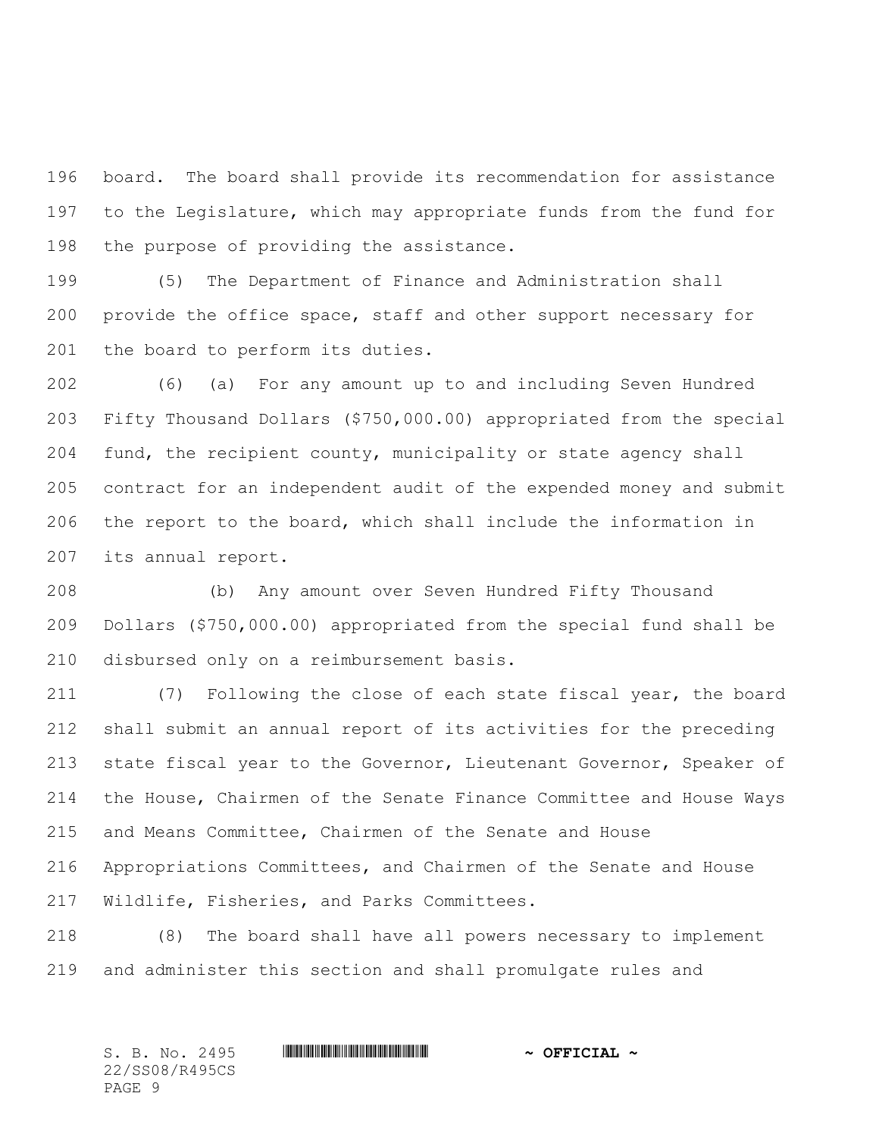board. The board shall provide its recommendation for assistance to the Legislature, which may appropriate funds from the fund for 198 the purpose of providing the assistance.

 (5) The Department of Finance and Administration shall provide the office space, staff and other support necessary for 201 the board to perform its duties.

 (6) (a) For any amount up to and including Seven Hundred Fifty Thousand Dollars (\$750,000.00) appropriated from the special fund, the recipient county, municipality or state agency shall contract for an independent audit of the expended money and submit the report to the board, which shall include the information in its annual report.

 (b) Any amount over Seven Hundred Fifty Thousand Dollars (\$750,000.00) appropriated from the special fund shall be disbursed only on a reimbursement basis.

 (7) Following the close of each state fiscal year, the board shall submit an annual report of its activities for the preceding state fiscal year to the Governor, Lieutenant Governor, Speaker of the House, Chairmen of the Senate Finance Committee and House Ways and Means Committee, Chairmen of the Senate and House Appropriations Committees, and Chairmen of the Senate and House Wildlife, Fisheries, and Parks Committees.

 (8) The board shall have all powers necessary to implement and administer this section and shall promulgate rules and